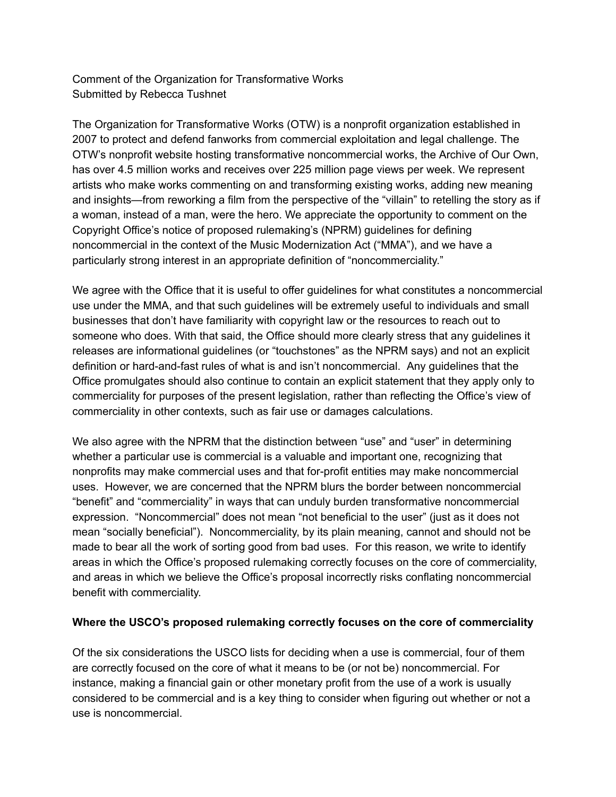Comment of the Organization for Transformative Works Submitted by Rebecca Tushnet

The Organization for Transformative Works (OTW) is a nonprofit organization established in 2007 to protect and defend fanworks from commercial exploitation and legal challenge. The OTW's nonprofit website hosting transformative noncommercial works, the Archive of Our Own, has over 4.5 million works and receives over 225 million page views per week. We represent artists who make works commenting on and transforming existing works, adding new meaning and insights—from reworking a film from the perspective of the "villain" to retelling the story as if a woman, instead of a man, were the hero. We appreciate the opportunity to comment on the Copyright Office's notice of proposed rulemaking's (NPRM) guidelines for defining noncommercial in the context of the Music Modernization Act ("MMA"), and we have a particularly strong interest in an appropriate definition of "noncommerciality."

We agree with the Office that it is useful to offer guidelines for what constitutes a noncommercial use under the MMA, and that such guidelines will be extremely useful to individuals and small businesses that don't have familiarity with copyright law or the resources to reach out to someone who does. With that said, the Office should more clearly stress that any guidelines it releases are informational guidelines (or "touchstones" as the NPRM says) and not an explicit definition or hard-and-fast rules of what is and isn't noncommercial. Any guidelines that the Office promulgates should also continue to contain an explicit statement that they apply only to commerciality for purposes of the present legislation, rather than reflecting the Office's view of commerciality in other contexts, such as fair use or damages calculations.

We also agree with the NPRM that the distinction between "use" and "user" in determining whether a particular use is commercial is a valuable and important one, recognizing that nonprofits may make commercial uses and that for-profit entities may make noncommercial uses. However, we are concerned that the NPRM blurs the border between noncommercial "benefit" and "commerciality" in ways that can unduly burden transformative noncommercial expression. "Noncommercial" does not mean "not beneficial to the user" (just as it does not mean "socially beneficial"). Noncommerciality, by its plain meaning, cannot and should not be made to bear all the work of sorting good from bad uses. For this reason, we write to identify areas in which the Office's proposed rulemaking correctly focuses on the core of commerciality, and areas in which we believe the Office's proposal incorrectly risks conflating noncommercial benefit with commerciality.

## **Where the USCO's proposed rulemaking correctly focuses on the core of commerciality**

Of the six considerations the USCO lists for deciding when a use is commercial, four of them are correctly focused on the core of what it means to be (or not be) noncommercial. For instance, making a financial gain or other monetary profit from the use of a work is usually considered to be commercial and is a key thing to consider when figuring out whether or not a use is noncommercial.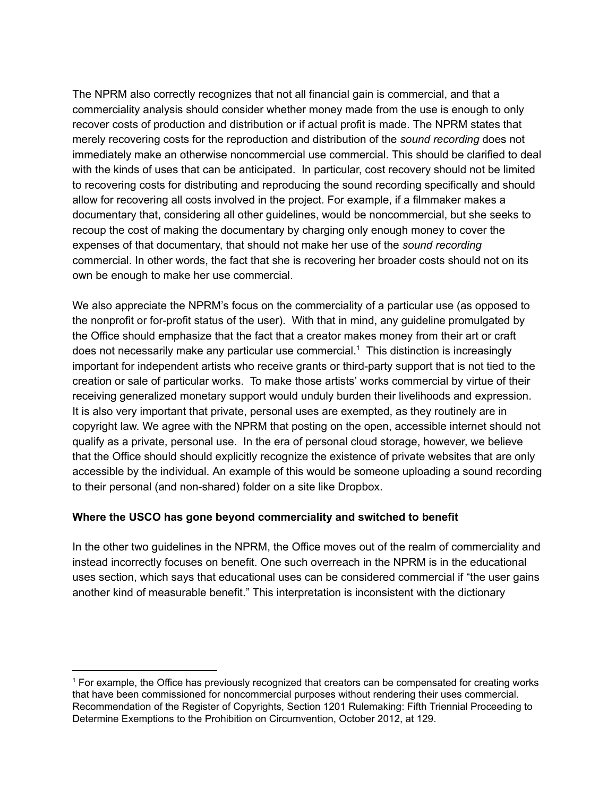The NPRM also correctly recognizes that not all financial gain is commercial, and that a commerciality analysis should consider whether money made from the use is enough to only recover costs of production and distribution or if actual profit is made. The NPRM states that merely recovering costs for the reproduction and distribution of the *sound recording* does not immediately make an otherwise noncommercial use commercial. This should be clarified to deal with the kinds of uses that can be anticipated. In particular, cost recovery should not be limited to recovering costs for distributing and reproducing the sound recording specifically and should allow for recovering all costs involved in the project. For example, if a filmmaker makes a documentary that, considering all other guidelines, would be noncommercial, but she seeks to recoup the cost of making the documentary by charging only enough money to cover the expenses of that documentary, that should not make her use of the *sound recording* commercial. In other words, the fact that she is recovering her broader costs should not on its own be enough to make her use commercial.

We also appreciate the NPRM's focus on the commerciality of a particular use (as opposed to the nonprofit or for-profit status of the user). With that in mind, any guideline promulgated by the Office should emphasize that the fact that a creator makes money from their art or craft does not necessarily make any particular use commercial.<sup>1</sup> This distinction is increasingly important for independent artists who receive grants or third-party support that is not tied to the creation or sale of particular works. To make those artists' works commercial by virtue of their receiving generalized monetary support would unduly burden their livelihoods and expression. It is also very important that private, personal uses are exempted, as they routinely are in copyright law. We agree with the NPRM that posting on the open, accessible internet should not qualify as a private, personal use. In the era of personal cloud storage, however, we believe that the Office should should explicitly recognize the existence of private websites that are only accessible by the individual. An example of this would be someone uploading a sound recording to their personal (and non-shared) folder on a site like Dropbox.

## **Where the USCO has gone beyond commerciality and switched to benefit**

In the other two guidelines in the NPRM, the Office moves out of the realm of commerciality and instead incorrectly focuses on benefit. One such overreach in the NPRM is in the educational uses section, which says that educational uses can be considered commercial if "the user gains another kind of measurable benefit." This interpretation is inconsistent with the dictionary

<sup>&</sup>lt;sup>1</sup> For example, the Office has previously recognized that creators can be compensated for creating works that have been commissioned for noncommercial purposes without rendering their uses commercial. Recommendation of the Register of Copyrights, Section 1201 Rulemaking: Fifth Triennial Proceeding to Determine Exemptions to the Prohibition on Circumvention, October 2012, at 129.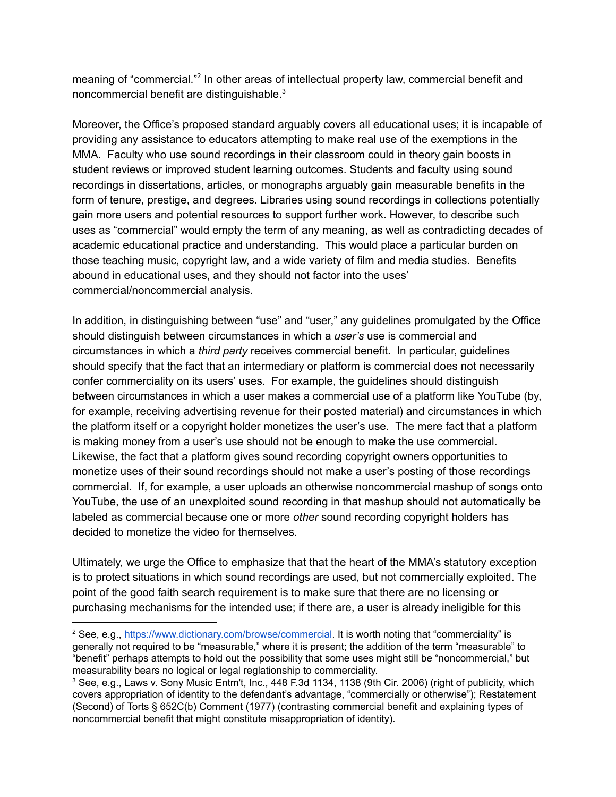meaning of "commercial."<sup>2</sup> In other areas of intellectual property law, commercial benefit and noncommercial benefit are distinguishable. $^3$ 

Moreover, the Office's proposed standard arguably covers all educational uses; it is incapable of providing any assistance to educators attempting to make real use of the exemptions in the MMA. Faculty who use sound recordings in their classroom could in theory gain boosts in student reviews or improved student learning outcomes. Students and faculty using sound recordings in dissertations, articles, or monographs arguably gain measurable benefits in the form of tenure, prestige, and degrees. Libraries using sound recordings in collections potentially gain more users and potential resources to support further work. However, to describe such uses as "commercial" would empty the term of any meaning, as well as contradicting decades of academic educational practice and understanding. This would place a particular burden on those teaching music, copyright law, and a wide variety of film and media studies. Benefits abound in educational uses, and they should not factor into the uses' commercial/noncommercial analysis.

In addition, in distinguishing between "use" and "user," any guidelines promulgated by the Office should distinguish between circumstances in which a *user's* use is commercial and circumstances in which a *third party* receives commercial benefit. In particular, guidelines should specify that the fact that an intermediary or platform is commercial does not necessarily confer commerciality on its users' uses. For example, the guidelines should distinguish between circumstances in which a user makes a commercial use of a platform like YouTube (by, for example, receiving advertising revenue for their posted material) and circumstances in which the platform itself or a copyright holder monetizes the user's use. The mere fact that a platform is making money from a user's use should not be enough to make the use commercial. Likewise, the fact that a platform gives sound recording copyright owners opportunities to monetize uses of their sound recordings should not make a user's posting of those recordings commercial. If, for example, a user uploads an otherwise noncommercial mashup of songs onto YouTube, the use of an unexploited sound recording in that mashup should not automatically be labeled as commercial because one or more *other* sound recording copyright holders has decided to monetize the video for themselves.

Ultimately, we urge the Office to emphasize that that the heart of the MMA's statutory exception is to protect situations in which sound recordings are used, but not commercially exploited. The point of the good faith search requirement is to make sure that there are no licensing or purchasing mechanisms for the intended use; if there are, a user is already ineligible for this

<sup>2</sup> See, e.g., <https://www.dictionary.com/browse/commercial>. It is worth noting that "commerciality" is generally not required to be "measurable," where it is present; the addition of the term "measurable" to "benefit" perhaps attempts to hold out the possibility that some uses might still be "noncommercial," but measurability bears no logical or legal reglationship to commerciality.

<sup>&</sup>lt;sup>3</sup> See, e.g., Laws v. Sony Music Entm't, Inc., 448 F.3d 1134, 1138 (9th Cir. 2006) (right of publicity, which covers appropriation of identity to the defendant's advantage, "commercially or otherwise"); Restatement (Second) of Torts § 652C(b) Comment (1977) (contrasting commercial benefit and explaining types of noncommercial benefit that might constitute misappropriation of identity).